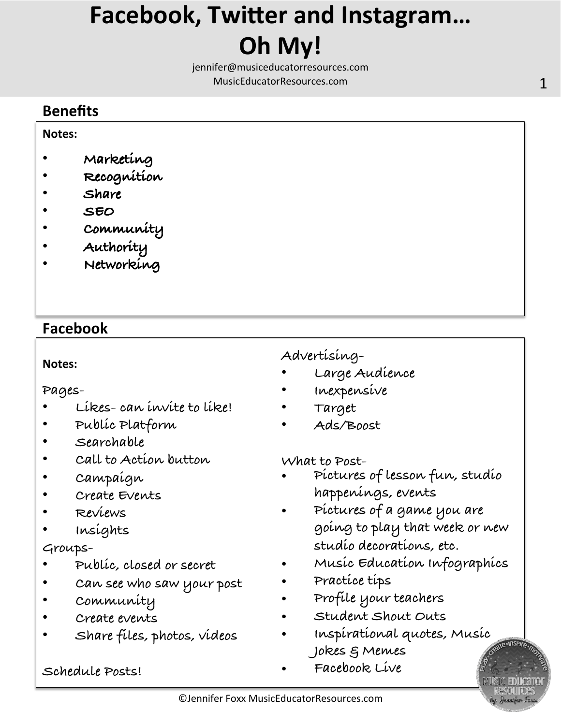# **Facebook, Twitter and Instagram... Oh** My!

jennifer@musiceducatorresources.com MusicEducatorResources.com **1** 

# **Benefits**

#### **Notes:**

- **Marketing**
- **Recognition**
- **Share**
- **SEO**
- **Community**
- **Authority**
- **Networking**

# **Facebook**

### **Notes:**

**Pages-** 

- **Likes- can invite to like!**
- **Public Platform**
- **Searchable**
- **Call to Action button**
- **Campaign**
- Crunce Overves • **Create Events**
- **Reviews**
- revers<br>• Incéntate  $\epsilon$ • **Insights**

## **Groups-**

- Groups • **Public, closed or secret**
- **Can see who saw your post**
- **Community**
- **Create events**
- **Share files, photos, videos**

## **Schedule Posts!**

# **Advertising-**

- **Large Audience**
- **Inexpensive**
- **Target**
- **Ads/Boost**

### **What to Post-**

- **Adver&sing Pictures of lesson fun, studio happenings, events** 
	- **Pictures of a game you are going to play that week or new studio decorations, etc.**
	- **Music Education Infographics**
	- **Practice tips**
	- **Profile your teachers**
	- **Student Shout Outs**
	- **Inspirational quotes, Music Jokes & Memes**
	- **Facebook Live**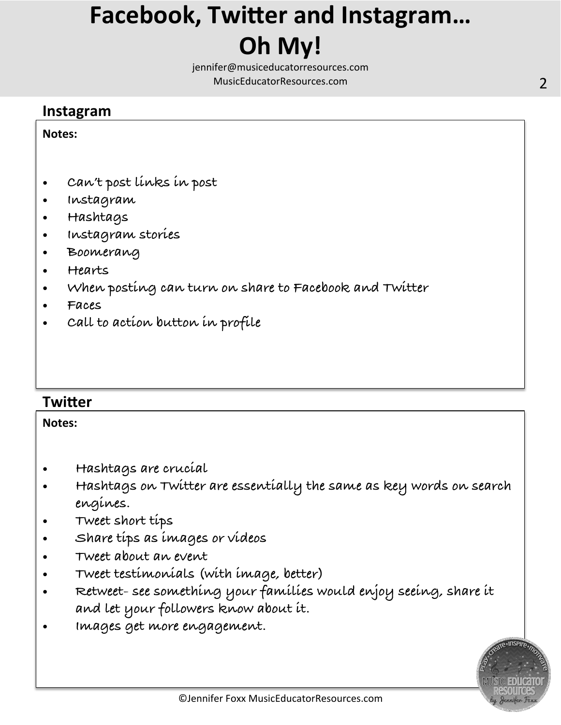# **Facebook, Twitter and Instagram... Oh** My!

jennifer@musiceducatorresources.com MusicEducatorResources.com **2** and 2

## **Instagram**

#### **Notes:**

- **Can't post links in post**
- **Instagram**
- **Hashtags**
- **Instagram stories**
- **Boomerang**
- **Hearts**
- **When posting can turn on share to Facebook and Twitter**
- **Faces**
- **Call to action button in profile**

# **Twitter**

#### **Notes:**

- **Hashtags are crucial**
- **Hashtags on Twitter are essentially the same as key words on search engines.**
- **Tweet short tips**
- **Share tips as images or videos**
- **Tweet about an event**
- **Tweet testimonials (with image, better)**
- **Retweet- see something your families would enjoy seeing, share it and let your followers know about it.**
- **Images get more engagement.**